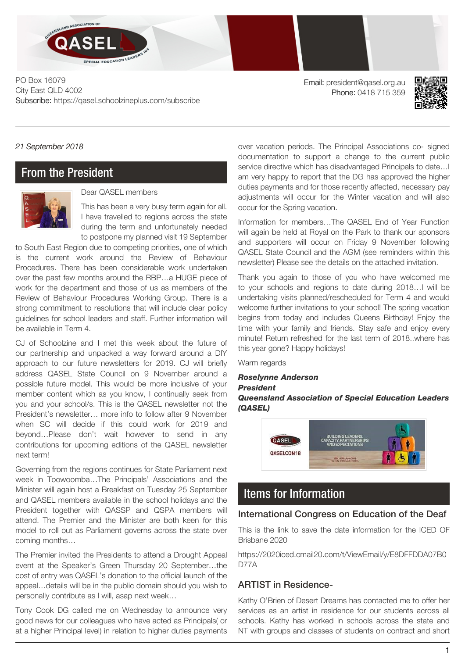

PO Box 16079 City East QLD 4002 Subscribe: https://qasel.schoolzineplus.com/subscribe

Email: president@qasel.org.au Phone: 0418 715 359



*21 September 2018*

### From the President



Dear QASEL members

This has been a very busy term again for all. I have travelled to regions across the state during the term and unfortunately needed to postpone my planned visit 19 September

to South East Region due to competing priorities, one of which is the current work around the Review of Behaviour Procedures. There has been considerable work undertaken over the past few months around the RBP…a HUGE piece of work for the department and those of us as members of the Review of Behaviour Procedures Working Group. There is a strong commitment to resolutions that will include clear policy guidelines for school leaders and staff. Further information will be available in Term 4.

CJ of Schoolzine and I met this week about the future of our partnership and unpacked a way forward around a DIY approach to our future newsletters for 2019. CJ will briefly address QASEL State Council on 9 November around a possible future model. This would be more inclusive of your member content which as you know, I continually seek from you and your school/s. This is the QASEL newsletter not the President's newsletter… more info to follow after 9 November when SC will decide if this could work for 2019 and beyond…Please don't wait however to send in any contributions for upcoming editions of the QASEL newsletter next term!

Governing from the regions continues for State Parliament next week in Toowoomba…The Principals' Associations and the Minister will again host a Breakfast on Tuesday 25 September and QASEL members available in the school holidays and the President together with QASSP and QSPA members will attend. The Premier and the Minister are both keen for this model to roll out as Parliament governs across the state over coming months…

The Premier invited the Presidents to attend a Drought Appeal event at the Speaker's Green Thursday 20 September…the cost of entry was QASEL's donation to the official launch of the appeal…details will be in the public domain should you wish to personally contribute as I will, asap next week…

Tony Cook DG called me on Wednesday to announce very good news for our colleagues who have acted as Principals( or at a higher Principal level) in relation to higher duties payments

over vacation periods. The Principal Associations co- signed documentation to support a change to the current public service directive which has disadvantaged Principals to date…I am very happy to report that the DG has approved the higher duties payments and for those recently affected, necessary pay adjustments will occur for the Winter vacation and will also occur for the Spring vacation.

Information for members…The QASEL End of Year Function will again be held at Royal on the Park to thank our sponsors and supporters will occur on Friday 9 November following QASEL State Council and the AGM (see reminders within this newsletter) Please see the details on the attached invitation.

Thank you again to those of you who have welcomed me to your schools and regions to date during 2018…I will be undertaking visits planned/rescheduled for Term 4 and would welcome further invitations to your school! The spring vacation begins from today and includes Queens Birthday! Enjoy the time with your family and friends. Stay safe and enjoy every minute! Return refreshed for the last term of 2018..where has this year gone? Happy holidays!

Warm regards

#### *Roselynne Anderson President Queensland Association of Special Education Leaders (QASEL)*



# Items for Information

#### International Congress on Education of the Deaf

This is the link to save the date information for the ICED OF Brisbane 2020

https://2020iced.cmail20.com/t/ViewEmail/y/E8DFFDDA07B0 D77A

#### ARTIST in Residence-

Kathy O'Brien of Desert Dreams has contacted me to offer her services as an artist in residence for our students across all schools. Kathy has worked in schools across the state and NT with groups and classes of students on contract and short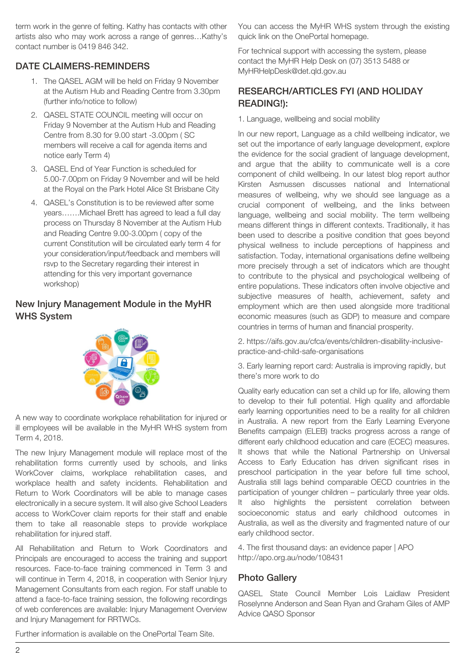term work in the genre of felting. Kathy has contacts with other artists also who may work across a range of genres…Kathy's contact number is 0419 846 342.

### DATE CLAIMERS-REMINDERS

- 1. The QASEL AGM will be held on Friday 9 November at the Autism Hub and Reading Centre from 3.30pm (further info/notice to follow)
- 2. QASEL STATE COUNCIL meeting will occur on Friday 9 November at the Autism Hub and Reading Centre from 8.30 for 9.00 start -3.00pm ( SC members will receive a call for agenda items and notice early Term 4)
- 3. QASEL End of Year Function is scheduled for 5.00-7.00pm on Friday 9 November and will be held at the Royal on the Park Hotel Alice St Brisbane City
- 4. QASEL's Constitution is to be reviewed after some years…….Michael Brett has agreed to lead a full day process on Thursday 8 November at the Autism Hub and Reading Centre 9.00-3.00pm ( copy of the current Constitution will be circulated early term 4 for your consideration/input/feedback and members will rsvp to the Secretary regarding their interest in attending for this very important governance workshop)

### New Injury Management Module in the MyHR WHS System



A new way to coordinate workplace rehabilitation for injured or ill employees will be available in the MyHR WHS [system](https://myhr-whs.deta.qld.gov.au/CINTELLATE/jsf/main.jsp) from [Term 4, 2018.](https://myhr-whs.deta.qld.gov.au/CINTELLATE/jsf/main.jsp)

The new Injury Management module will replace most of the rehabilitation forms currently used by schools, and links WorkCover claims, workplace rehabilitation cases, and workplace health and safety incidents. Rehabilitation and Return to Work Coordinators will be able to manage cases electronically in a secure system. It will also give School Leaders access to WorkCover claim reports for their staff and enable them to take all reasonable steps to provide workplace rehabilitation for injured staff.

All Rehabilitation and Return to Work Coordinators and Principals are encouraged to access the training and support resources. Face-to-face training commenced in Term 3 and will continue in Term 4, 2018, in cooperation with Senior Injury Management Consultants from each region. For staff unable to attend a face-to-face training session, the following recordings of web conferences are available: Injury [Management](https://staff.learningplace.eq.edu.au/OneChannel/Pages/Program.aspx?cid=3&eid=23031) Overview and [Injury Management for RRTWCs.](https://staff.learningplace.eq.edu.au/OneChannel/Pages/Program.aspx?cid=3&eid=23032)

You can access the MyHR WHS system through the existing quick link on the OnePortal homepage.

For technical support with accessing the system, please contact the MyHR Help Desk on (07) 3513 5488 or [MyHRHelpDesk@det.qld.gov.au](mailto:MyHRHelpDesk@det.qld.gov.au)

### RESEARCH/ARTICLES FYI (AND HOLIDAY READING!):

1. [Language, wellbeing and social mobility](http://www.eif.org.uk/language-wellbeing-and-social-mobility/)

In our new report, Language as a child wellbeing indicator, we set out the importance of early language development, explore the evidence for the social gradient of language development, and argue that the ability to communicate well is a core component of child wellbeing. In our latest blog report author Kirsten Asmussen discusses national and International measures of wellbeing, why we should see language as a crucial component of wellbeing, and the links between language, wellbeing and social mobility. The term wellbeing means different things in different contexts. Traditionally, it has been used to describe a positive condition that goes beyond physical wellness to include perceptions of happiness and satisfaction. Today, international organisations define wellbeing more precisely through a set of indicators which are thought to contribute to the physical and psychological wellbeing of entire populations. These indicators often involve objective and subjective measures of health, achievement, safety and employment which are then used alongside more traditional economic measures (such as GDP) to measure and compare countries in terms of human and financial prosperity.

2. [https://aifs.gov.au/cfca/events/children-disability-inclusive](https://aifs.gov.au/cfca/events/children-disability-inclusive-practice-and-child-safe-organisations)[practice-and-child-safe-organisations](https://aifs.gov.au/cfca/events/children-disability-inclusive-practice-and-child-safe-organisations)

3. [Early learning report card: Australia is improving rapidly, but](http://www.mitchellinstitute.org.au/opinion/early-learning-report-card-australia-improving-rapidly-theres-work/) [there's more work to do](http://www.mitchellinstitute.org.au/opinion/early-learning-report-card-australia-improving-rapidly-theres-work/)

Quality early education can set a child up for life, allowing them to develop to their full potential. High quality and affordable early learning opportunities need to be a reality for all children in Australia. A new report from the Early Learning Everyone Benefits campaign (ELEB) tracks progress across a range of different early childhood education and care (ECEC) measures. It shows that while the National Partnership on Universal Access to Early Education has driven significant rises in preschool participation in the year before full time school, Australia still lags behind comparable OECD countries in the participation of younger children – particularly three year olds. It also highlights the persistent correlation between socioeconomic status and early childhood outcomes in Australia, as well as the diversity and fragmented nature of our early childhood sector.

4. The first thousand days: an evidence paper | APO <http://apo.org.au/node/108431>

### Photo Gallery

QASEL State Council Member Lois Laidlaw President Roselynne Anderson and Sean Ryan and Graham Giles of AMP Advice QASO Sponsor

Further information is available on the OnePortal [Team Site.](https://team.oneportal.deta.qld.gov.au/sites/imsp/schools/default.aspx)